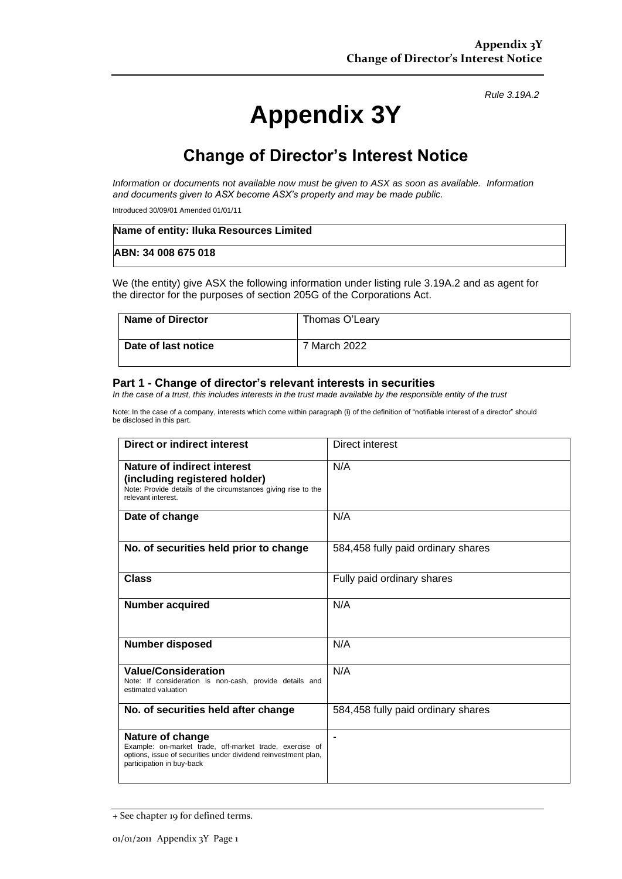*Rule 3.19A.2*

# **Appendix 3Y**

## **Change of Director's Interest Notice**

*Information or documents not available now must be given to ASX as soon as available. Information and documents given to ASX become ASX's property and may be made public.*

Introduced 30/09/01 Amended 01/01/11

| Name of entity: Iluka Resources Limited |  |
|-----------------------------------------|--|
| ABN: 34 008 675 018                     |  |

We (the entity) give ASX the following information under listing rule 3.19A.2 and as agent for the director for the purposes of section 205G of the Corporations Act.

| Name of Director    | Thomas O'Leary |
|---------------------|----------------|
| Date of last notice | 7 March 2022   |

#### **Part 1 - Change of director's relevant interests in securities**

*In the case of a trust, this includes interests in the trust made available by the responsible entity of the trust*

Note: In the case of a company, interests which come within paragraph (i) of the definition of "notifiable interest of a director" should be disclosed in this part.

| <b>Direct or indirect interest</b>                                                                                                                                         | Direct interest                    |
|----------------------------------------------------------------------------------------------------------------------------------------------------------------------------|------------------------------------|
| Nature of indirect interest<br>(including registered holder)<br>Note: Provide details of the circumstances giving rise to the<br>relevant interest.                        | N/A                                |
| Date of change                                                                                                                                                             | N/A                                |
| No. of securities held prior to change                                                                                                                                     | 584,458 fully paid ordinary shares |
| Class                                                                                                                                                                      | Fully paid ordinary shares         |
| <b>Number acquired</b>                                                                                                                                                     | N/A                                |
| <b>Number disposed</b>                                                                                                                                                     | N/A                                |
| <b>Value/Consideration</b><br>Note: If consideration is non-cash, provide details and<br>estimated valuation                                                               | N/A                                |
| No. of securities held after change                                                                                                                                        | 584,458 fully paid ordinary shares |
| Nature of change<br>Example: on-market trade, off-market trade, exercise of<br>options, issue of securities under dividend reinvestment plan,<br>participation in buy-back | ۰                                  |

<sup>+</sup> See chapter 19 for defined terms.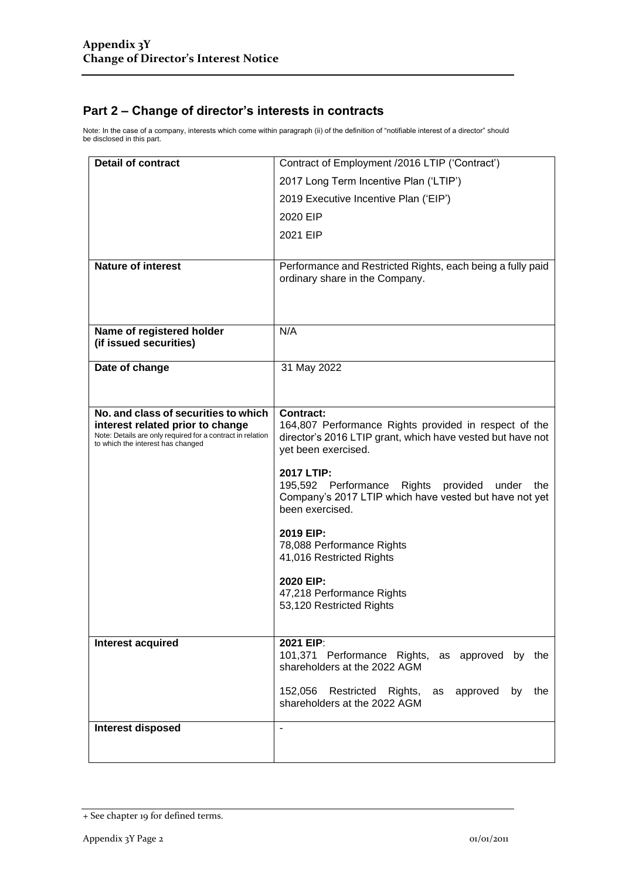### **Part 2 – Change of director's interests in contracts**

Note: In the case of a company, interests which come within paragraph (ii) of the definition of "notifiable interest of a director" should be disclosed in this part.

| <b>Detail of contract</b>                                                                                                           | Contract of Employment /2016 LTIP ('Contract')                                                                                                                 |  |
|-------------------------------------------------------------------------------------------------------------------------------------|----------------------------------------------------------------------------------------------------------------------------------------------------------------|--|
|                                                                                                                                     | 2017 Long Term Incentive Plan ('LTIP')                                                                                                                         |  |
|                                                                                                                                     | 2019 Executive Incentive Plan ('EIP')                                                                                                                          |  |
|                                                                                                                                     | 2020 EIP                                                                                                                                                       |  |
|                                                                                                                                     | 2021 EIP                                                                                                                                                       |  |
|                                                                                                                                     |                                                                                                                                                                |  |
| <b>Nature of interest</b>                                                                                                           | Performance and Restricted Rights, each being a fully paid<br>ordinary share in the Company.                                                                   |  |
| Name of registered holder<br>(if issued securities)                                                                                 | N/A                                                                                                                                                            |  |
| Date of change                                                                                                                      | 31 May 2022                                                                                                                                                    |  |
|                                                                                                                                     |                                                                                                                                                                |  |
| No. and class of securities to which                                                                                                |                                                                                                                                                                |  |
| interest related prior to change<br>Note: Details are only required for a contract in relation<br>to which the interest has changed | <b>Contract:</b><br>164,807 Performance Rights provided in respect of the<br>director's 2016 LTIP grant, which have vested but have not<br>yet been exercised. |  |
|                                                                                                                                     | 2017 LTIP:<br>195,592 Performance Rights provided under<br>the<br>Company's 2017 LTIP which have vested but have not yet<br>been exercised.                    |  |
|                                                                                                                                     | 2019 EIP:<br>78,088 Performance Rights<br>41,016 Restricted Rights                                                                                             |  |
|                                                                                                                                     | 2020 EIP:<br>47,218 Performance Rights<br>53,120 Restricted Rights                                                                                             |  |
| Interest acquired                                                                                                                   | 2021 EIP:                                                                                                                                                      |  |
|                                                                                                                                     | 101,371 Performance Rights, as approved by the<br>shareholders at the 2022 AGM                                                                                 |  |
|                                                                                                                                     | 152,056 Restricted Rights,<br>approved<br>by the<br>as<br>shareholders at the 2022 AGM                                                                         |  |
| <b>Interest disposed</b>                                                                                                            | $\blacksquare$                                                                                                                                                 |  |
|                                                                                                                                     |                                                                                                                                                                |  |

<sup>+</sup> See chapter 19 for defined terms.